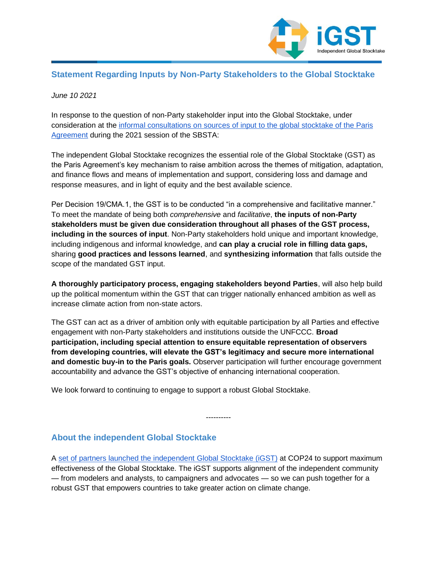

## **Statement Regarding Inputs by Non-Party Stakeholders to the Global Stocktake**

## *June 10 2021*

In response to the question of non-Party stakeholder input into the Global Stocktake, under consideration at the informal consultations [on sources of input to the global stocktake of the Paris](https://unfccc.int/event/SBSTA-may-june-2021#eq-13)  [Agreement](https://unfccc.int/event/SBSTA-may-june-2021#eq-13) during the 2021 session of the SBSTA:

The independent Global Stocktake recognizes the essential role of the Global Stocktake (GST) as the Paris Agreement's key mechanism to raise ambition across the themes of mitigation, adaptation, and finance flows and means of implementation and support, considering loss and damage and response measures, and in light of equity and the best available science.

Per Decision 19/CMA.1, the GST is to be conducted "in a comprehensive and facilitative manner." To meet the mandate of being both *comprehensive* and *facilitative*, **the inputs of non-Party stakeholders must be given due consideration throughout all phases of the GST process, including in the sources of input**. Non-Party stakeholders hold unique and important knowledge, including indigenous and informal knowledge, and **can play a crucial role in filling data gaps,**  sharing **good practices and lessons learned**, and **synthesizing information** that falls outside the scope of the mandated GST input.

**A thoroughly participatory process, engaging stakeholders beyond Parties**, will also help build up the political momentum within the GST that can trigger nationally enhanced ambition as well as increase climate action from non-state actors.

The GST can act as a driver of ambition only with equitable participation by all Parties and effective engagement with non-Party stakeholders and institutions outside the UNFCCC. **Broad participation, including special attention to ensure equitable representation of observers from developing countries, will elevate the GST's legitimacy and secure more international and domestic buy-in to the Paris goals.** Observer participation will further encourage government accountability and advance the GST's objective of enhancing international cooperation.

We look forward to continuing to engage to support a robust Global Stocktake.

## **About the independent Global Stocktake**

A [set of partners launched the independent Global Stocktake \(iGST\)](http://www.independentgst.org/) at COP24 to support maximum effectiveness of the Global Stocktake. The iGST supports alignment of the independent community — from modelers and analysts, to campaigners and advocates — so we can push together for a robust GST that empowers countries to take greater action on climate change.

----------